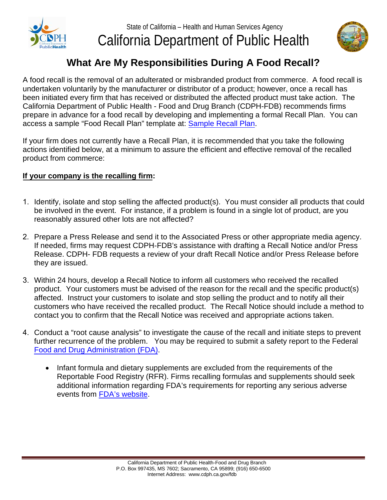



## **What Are My Responsibilities During A Food Recall?**

 A food recall is the removal of an adulterated or misbranded product from commerce. A food recall is been initiated every firm that has received or distributed the affected product must take action. The undertaken voluntarily by the manufacturer or distributor of a product; however, once a recall has California Department of Public Health - Food and Drug Branch (CDPH-FDB) recommends firms prepare in advance for a food recall by developing and implementing a formal Recall Plan. You can access a sample "Food Recall Plan" template at: [Sample Recall Plan](https://www.cdph.ca.gov/Programs/CEH/DFDCS/CDPH%20Document%20Library/FDB/FoodSafetyProgram/FoodRecalls/SampleRecallPlan.pdf).

If your firm does not currently have a Recall Plan, it is recommended that you take the following actions identified below, at a minimum to assure the efficient and effective removal of the recalled product from commerce:

## **If your company is the recalling firm:**

- 1. Identify, isolate and stop selling the affected product(s). You must consider all products that could be involved in the event. For instance, if a problem is found in a single lot of product, are you reasonably assured other lots are not affected?
- If needed, firms may request CDPH-FDB's assistance with drafting a Recall Notice and/or Press 2. Prepare a Press Release and send it to the Associated Press or other appropriate media agency. Release. CDPH- FDB requests a review of your draft Recall Notice and/or Press Release before they are issued.
- 3. Within 24 hours, develop a Recall Notice to inform all customers who received the recalled product. Your customers must be advised of the reason for the recall and the specific product(s) affected. Instruct your customers to isolate and stop selling the product and to notify all their customers who have received the recalled product. The Recall Notice should include a method to contact you to confirm that the Recall Notice was received and appropriate actions taken.
- further recurrence of the problem. You may be required to submit a safety report to the Federal 4. Conduct a "root cause analysis" to investigate the cause of the recall and initiate steps to prevent [Food and Drug Administration \(FDA\)](http://www.fda.gov/Food/ComplianceEnforcement/RFR/UCM2019388.htm).
	- Infant formula and dietary supplements are excluded from the requirements of the Reportable Food Registry (RFR). Firms recalling formulas and supplements should seek additional information regarding FDA's requirements for reporting any serious adverse events from [FDA's website](www.fda.gov).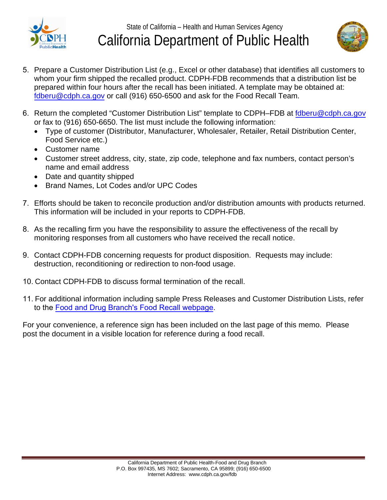



- prepared within four hours after the recall has been initiated. A template may be obtained at: 5. Prepare a Customer Distribution List (e.g., Excel or other database) that identifies all customers to whom your firm shipped the recalled product. CDPH-FDB recommends that a distribution list be fdberu@cdph.ca.gov or call (916) 650-6500 and ask for the Food Recall Team.
- 6. Return the completed "Customer Distribution List" template to CDPH–FDB at fdberu@cdph.ca.gov or fax to (916) 650-6650. The list must include the following information:
	- Type of customer (Distributor, Manufacturer, Wholesaler, Retailer, Retail Distribution Center, Food Service etc.)
	- Customer name
	- Customer street address, city, state, zip code, telephone and fax numbers, contact person's name and email address
	- Date and quantity shipped
	- Brand Names, Lot Codes and/or UPC Codes
- 7. Efforts should be taken to reconcile production and/or distribution amounts with products returned. This information will be included in your reports to CDPH-FDB.
- 8. As the recalling firm you have the responsibility to assure the effectiveness of the recall by monitoring responses from all customers who have received the recall notice.
- 9. Contact CDPH-FDB concerning requests for product disposition. Requests may include: destruction, reconditioning or redirection to non-food usage.
- 10. Contact CDPH-FDB to discuss formal termination of the recall.
- 11. For additional information including sample Press Releases and Customer Distribution Lists, refer to the [Food and Drug Branch's Food Recall webpage](www.cdph.ca.gov/foodrecalls)[.](http://www.cdph.ca.gov/services/Pages/fdbRIgde07.aspx)

 For your convenience, a reference sign has been included on the last page of this memo. Please post the document in a visible location for reference during a food recall.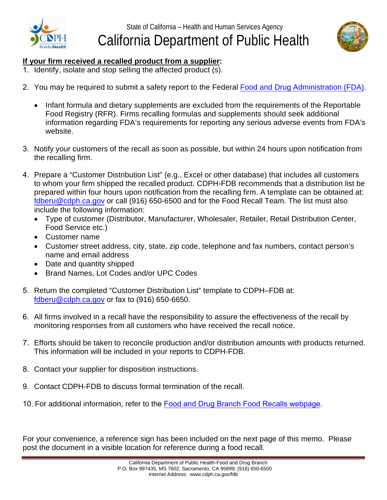



## **If your firm received a recalled product from a supplier:**

- 1. Identify, isolate and stop selling the affected product (s).
- 2. You may be required to submit a safety report to the Federal [Food and Drug Administration \(FDA\)](http://www.fda.gov/Food/ComplianceEnforcement/RFR/UCM2019388.htm).
	- Infant formula and dietary supplements are excluded from the requirements of the Reportable Food Registry (RFR). Firms recalling formulas and supplements should seek additional information regarding FDA's requirements for reporting any serious adverse events from FDA's website[.](http://www.fda.gov/)
- 3. Notify your customers of the recall as soon as possible, but within 24 hours upon notification from the recalling firm.
- 4. Prepare a "Customer Distribution List" (e.g., Excel or other database) that includes all customers to whom your firm shipped the recalled product. CDPH-FDB recommends that a distribution list be prepared within four hours upon notification from the recalling firm. A template can be obtained at: fdberu@cdph.ca.gov or call (916) 650-6500 and for the Food Recall Team. The list must also include the following information:
	- Type of customer (Distributor, Manufacturer, Wholesaler, Retailer, Retail Distribution Center, Food Service etc.)
	- Customer name
	- Customer street address, city, state, zip code, telephone and fax numbers, contact person's name and email address
	- Date and quantity shipped
	- Brand Names, Lot Codes and/or UPC Codes
- 5. Return the completed "Customer Distribution List" template to CDPH–FDB at: fdberu@cdph.ca.gov or fax to (916) 650-6650.
- 6. All firms involved in a recall have the responsibility to assure the effectiveness of the recall by monitoring responses from all customers who have received the recall notice.
- 7. Efforts should be taken to reconcile production and/or distribution amounts with products returned. This information will be included in your reports to CDPH-FDB.
- 8. Contact your supplier for disposition instructions.
- 9. Contact CDPH-FDB to discuss formal termination of the recall.
- 10. For additional information, refer to the [Food and Drug Branch Food Recalls webpage](www.cdph.ca.gov/foodrecalls).

For your convenience, a reference sign has been included on the next page of this memo. Please post the document in a visible location for reference during a food recall.